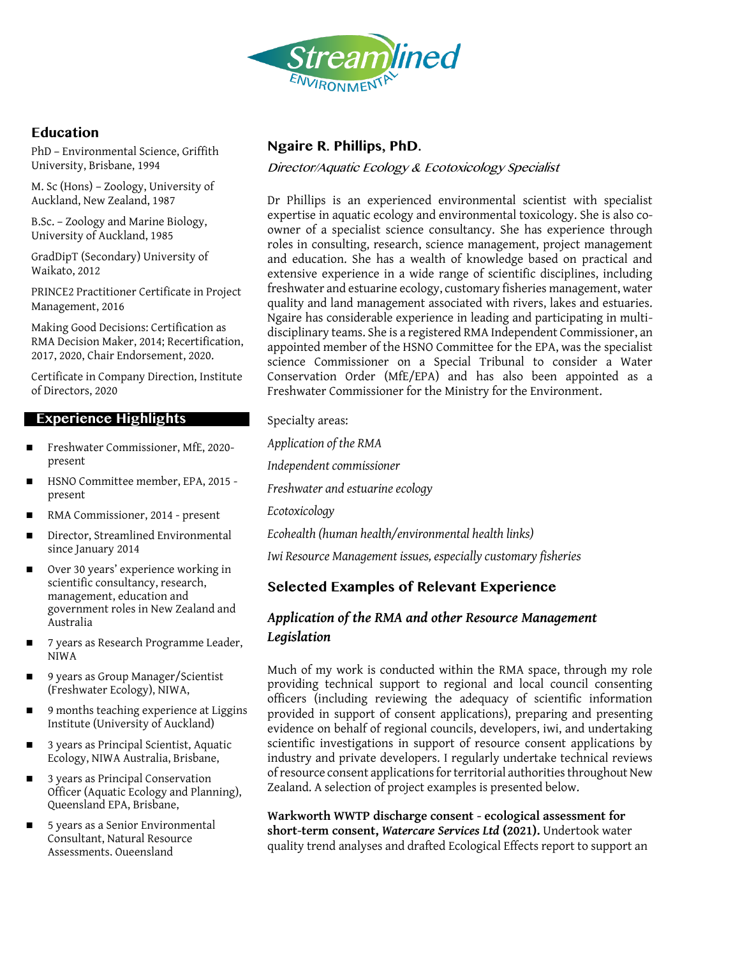

### **Education**

PhD – Environmental Science, Griffith University, Brisbane, 1994

M. Sc (Hons) – Zoology, University of Auckland, New Zealand, 1987

B.Sc. – Zoology and Marine Biology, University of Auckland, 1985

GradDipT (Secondary) University of Waikato, 2012

PRINCE2 Practitioner Certificate in Project Management, 2016

Making Good Decisions: Certification as RMA Decision Maker, 2014; Recertification, 2017, 2020, Chair Endorsement, 2020.

Certificate in Company Direction, Institute of Directors, 2020

#### **Experience Highlights**

- ◼ Freshwater Commissioner, MfE, 2020 present
- ◼ HSNO Committee member, EPA, 2015 present
- ◼ RMA Commissioner, 2014 present
- Director, Streamlined Environmental since January 2014
- Over 30 years' experience working in scientific consultancy, research, management, education and government roles in New Zealand and Australia
- ◼ 7 years as Research Programme Leader, NIWA
- ◼ 9 years as Group Manager/Scientist (Freshwater Ecology), NIWA,
- 9 months teaching experience at Liggins Institute (University of Auckland)
- 3 years as Principal Scientist, Aquatic Ecology, NIWA Australia, Brisbane,
- 3 years as Principal Conservation Officer (Aquatic Ecology and Planning), Queensland EPA, Brisbane,
- 5 years as a Senior Environmental Consultant, Natural Resource Assessments, Queensland

#### **Ngaire R. Phillips, PhD.**

Director/Aquatic Ecology & Ecotoxicology Specialist

Dr Phillips is an experienced environmental scientist with specialist expertise in aquatic ecology and environmental toxicology. She is also coowner of a specialist science consultancy. She has experience through roles in consulting, research, science management, project management and education. She has a wealth of knowledge based on practical and extensive experience in a wide range of scientific disciplines, including freshwater and estuarine ecology, customary fisheries management, water quality and land management associated with rivers, lakes and estuaries. Ngaire has considerable experience in leading and participating in multidisciplinary teams. She is a registered RMA Independent Commissioner, an appointed member of the HSNO Committee for the EPA, was the specialist science Commissioner on a Special Tribunal to consider a Water Conservation Order (MfE/EPA) and has also been appointed as a Freshwater Commissioner for the Ministry for the Environment.

Specialty areas:

*Application of the RMA*

*Independent commissioner*

*Freshwater and estuarine ecology*

*Ecotoxicology*

*Ecohealth (human health/environmental health links)*

*Iwi Resource Management issues, especially customary fisheries* 

### **Selected Examples of Relevant Experience**

### *Application of the RMA and other Resource Management Legislation*

Much of my work is conducted within the RMA space, through my role providing technical support to regional and local council consenting officers (including reviewing the adequacy of scientific information provided in support of consent applications), preparing and presenting evidence on behalf of regional councils, developers, iwi, and undertaking scientific investigations in support of resource consent applications by industry and private developers. I regularly undertake technical reviews of resource consent applications for territorial authorities throughout New Zealand. A selection of project examples is presented below.

#### **Warkworth WWTP discharge consent - ecological assessment for short-term consent,** *Watercare Services Ltd* **(2021).** Undertook water quality trend analyses and drafted Ecological Effects report to support an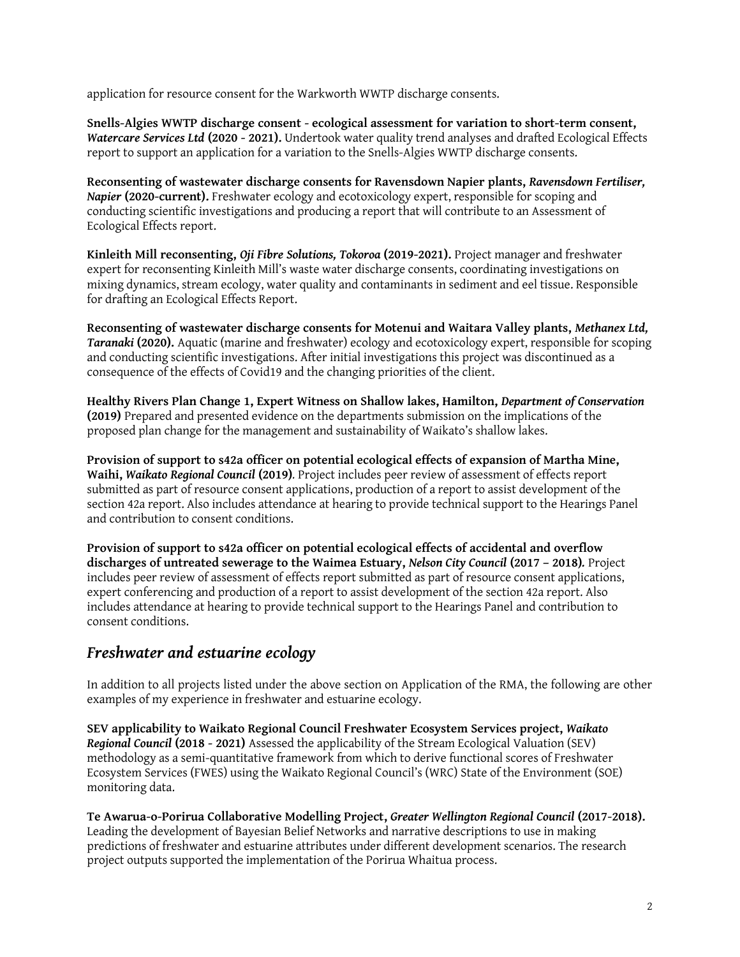application for resource consent for the Warkworth WWTP discharge consents.

**Snells-Algies WWTP discharge consent - ecological assessment for variation to short-term consent,**  *Watercare Services Ltd* **(2020 - 2021).** Undertook water quality trend analyses and drafted Ecological Effects report to support an application for a variation to the Snells-Algies WWTP discharge consents.

**Reconsenting of wastewater discharge consents for Ravensdown Napier plants,** *Ravensdown Fertiliser, Napier* **(2020-current).** Freshwater ecology and ecotoxicology expert, responsible for scoping and conducting scientific investigations and producing a report that will contribute to an Assessment of Ecological Effects report.

**Kinleith Mill reconsenting,** *Oji Fibre Solutions, Tokoroa* **(2019-2021).** Project manager and freshwater expert for reconsenting Kinleith Mill's waste water discharge consents, coordinating investigations on mixing dynamics, stream ecology, water quality and contaminants in sediment and eel tissue. Responsible for drafting an Ecological Effects Report.

**Reconsenting of wastewater discharge consents for Motenui and Waitara Valley plants,** *Methanex Ltd, Taranaki* **(2020).** Aquatic (marine and freshwater) ecology and ecotoxicology expert, responsible for scoping and conducting scientific investigations. After initial investigations this project was discontinued as a consequence of the effects of Covid19 and the changing priorities of the client.

**Healthy Rivers Plan Change 1, Expert Witness on Shallow lakes, Hamilton,** *Department of Conservation* **(2019)** Prepared and presented evidence on the departments submission on the implications of the proposed plan change for the management and sustainability of Waikato's shallow lakes.

**Provision of support to s42a officer on potential ecological effects of expansion of Martha Mine, Waihi,** *Waikato Regional Council* **(2019)***.* Project includes peer review of assessment of effects report submitted as part of resource consent applications, production of a report to assist development of the section 42a report. Also includes attendance at hearing to provide technical support to the Hearings Panel and contribution to consent conditions.

**Provision of support to s42a officer on potential ecological effects of accidental and overflow discharges of untreated sewerage to the Waimea Estuary,** *Nelson City Council* **(2017 – 2018)***.* Project includes peer review of assessment of effects report submitted as part of resource consent applications, expert conferencing and production of a report to assist development of the section 42a report. Also includes attendance at hearing to provide technical support to the Hearings Panel and contribution to consent conditions.

# *Freshwater and estuarine ecology*

In addition to all projects listed under the above section on Application of the RMA, the following are other examples of my experience in freshwater and estuarine ecology.

**SEV applicability to Waikato Regional Council Freshwater Ecosystem Services project,** *Waikato Regional Council* **(2018 - 2021)** Assessed the applicability of the Stream Ecological Valuation (SEV) methodology as a semi-quantitative framework from which to derive functional scores of Freshwater Ecosystem Services (FWES) using the Waikato Regional Council's (WRC) State of the Environment (SOE) monitoring data.

**Te Awarua-o-Porirua Collaborative Modelling Project,** *Greater Wellington Regional Council* **(2017-2018).** Leading the development of Bayesian Belief Networks and narrative descriptions to use in making predictions of freshwater and estuarine attributes under different development scenarios. The research project outputs supported the implementation of the Porirua Whaitua process.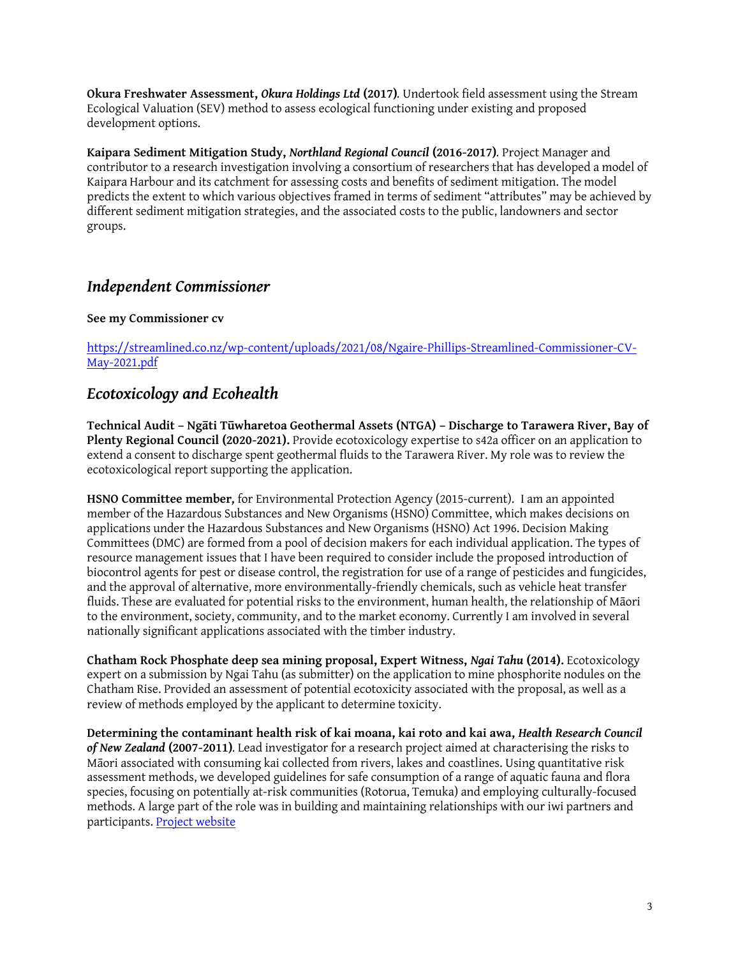**Okura Freshwater Assessment,** *Okura Holdings Ltd* **(2017)***.* Undertook field assessment using the Stream Ecological Valuation (SEV) method to assess ecological functioning under existing and proposed development options.

**Kaipara Sediment Mitigation Study,** *Northland Regional Council* **(2016-2017)***.* Project Manager and contributor to a research investigation involving a consortium of researchers that has developed a model of Kaipara Harbour and its catchment for assessing costs and benefits of sediment mitigation. The model predicts the extent to which various objectives framed in terms of sediment "attributes" may be achieved by different sediment mitigation strategies, and the associated costs to the public, landowners and sector groups.

## *Independent Commissioner*

### **See my Commissioner cv**

[https://streamlined.co.nz/wp-content/uploads/2021/08/Ngaire-Phillips-Streamlined-Commissioner-CV-](https://streamlined.co.nz/wp-content/uploads/2021/08/Ngaire-Phillips-Streamlined-Commissioner-CV-May-2021.pdf)[May-2021.pdf](https://streamlined.co.nz/wp-content/uploads/2021/08/Ngaire-Phillips-Streamlined-Commissioner-CV-May-2021.pdf)

# *Ecotoxicology and Ecohealth*

**Technical Audit – Ngāti Tūwharetoa Geothermal Assets (NTGA) – Discharge to Tarawera River, Bay of Plenty Regional Council (2020-2021).** Provide ecotoxicology expertise to s42a officer on an application to extend a consent to discharge spent geothermal fluids to the Tarawera River. My role was to review the ecotoxicological report supporting the application.

**HSNO Committee member***,* for Environmental Protection Agency (2015-current).I am an appointed member of the Hazardous Substances and New Organisms (HSNO) Committee, which makes decisions on applications under the Hazardous Substances and New Organisms (HSNO) Act 1996. Decision Making Committees (DMC) are formed from a pool of decision makers for each individual application. The types of resource management issues that I have been required to consider include the proposed introduction of biocontrol agents for pest or disease control, the registration for use of a range of pesticides and fungicides, and the approval of alternative, more environmentally-friendly chemicals, such as vehicle heat transfer fluids. These are evaluated for potential risks to the environment, human health, the relationship of Māori to the environment, society, community, and to the market economy. Currently I am involved in several nationally significant applications associated with the timber industry.

**Chatham Rock Phosphate deep sea mining proposal, Expert Witness,** *Ngai Tahu* **(2014).** Ecotoxicology expert on a submission by Ngai Tahu (as submitter) on the application to mine phosphorite nodules on the Chatham Rise. Provided an assessment of potential ecotoxicity associated with the proposal, as well as a review of methods employed by the applicant to determine toxicity.

**Determining the contaminant health risk of kai moana, kai roto and kai awa,** *Health Research Council of New Zealand* **(2007-2011)***.* Lead investigator for a research project aimed at characterising the risks to Māori associated with consuming kai collected from rivers, lakes and coastlines. Using quantitative risk assessment methods, we developed guidelines for safe consumption of a range of aquatic fauna and flora species, focusing on potentially at-risk communities (Rotorua, Temuka) and employing culturally-focused methods. A large part of the role was in building and maintaining relationships with our iwi partners and participants. [Project website](https://www.niwa.co.nz/freshwater/projects/risk-assessment-of-contaminants-in-traditional-food-sources)